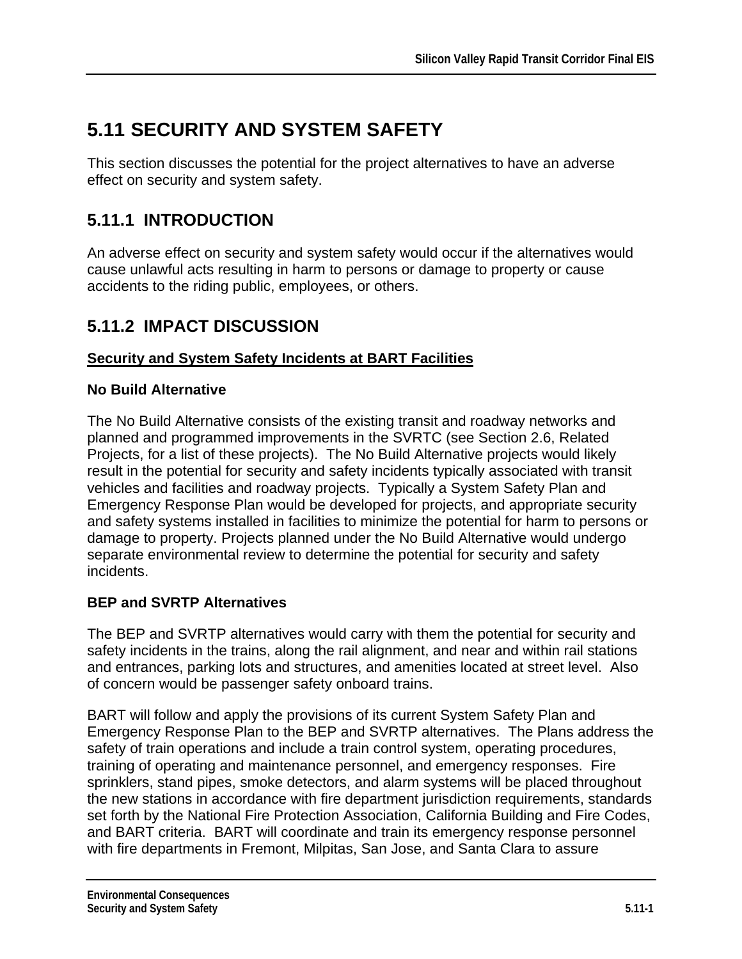# **5.11 SECURITY AND SYSTEM SAFETY**

This section discusses the potential for the project alternatives to have an adverse effect on security and system safety.

# **5.11.1 INTRODUCTION**

An adverse effect on security and system safety would occur if the alternatives would cause unlawful acts resulting in harm to persons or damage to property or cause accidents to the riding public, employees, or others.

### **5.11.2 IMPACT DISCUSSION**

#### **Security and System Safety Incidents at BART Facilities**

#### **No Build Alternative**

The No Build Alternative consists of the existing transit and roadway networks and planned and programmed improvements in the SVRTC (see Section 2.6, Related Projects, for a list of these projects). The No Build Alternative projects would likely result in the potential for security and safety incidents typically associated with transit vehicles and facilities and roadway projects. Typically a System Safety Plan and Emergency Response Plan would be developed for projects, and appropriate security and safety systems installed in facilities to minimize the potential for harm to persons or damage to property. Projects planned under the No Build Alternative would undergo separate environmental review to determine the potential for security and safety incidents.

#### **BEP and SVRTP Alternatives**

The BEP and SVRTP alternatives would carry with them the potential for security and safety incidents in the trains, along the rail alignment, and near and within rail stations and entrances, parking lots and structures, and amenities located at street level. Also of concern would be passenger safety onboard trains.

BART will follow and apply the provisions of its current System Safety Plan and Emergency Response Plan to the BEP and SVRTP alternatives. The Plans address the safety of train operations and include a train control system, operating procedures, training of operating and maintenance personnel, and emergency responses. Fire sprinklers, stand pipes, smoke detectors, and alarm systems will be placed throughout the new stations in accordance with fire department jurisdiction requirements, standards set forth by the National Fire Protection Association, California Building and Fire Codes, and BART criteria. BART will coordinate and train its emergency response personnel with fire departments in Fremont, Milpitas, San Jose, and Santa Clara to assure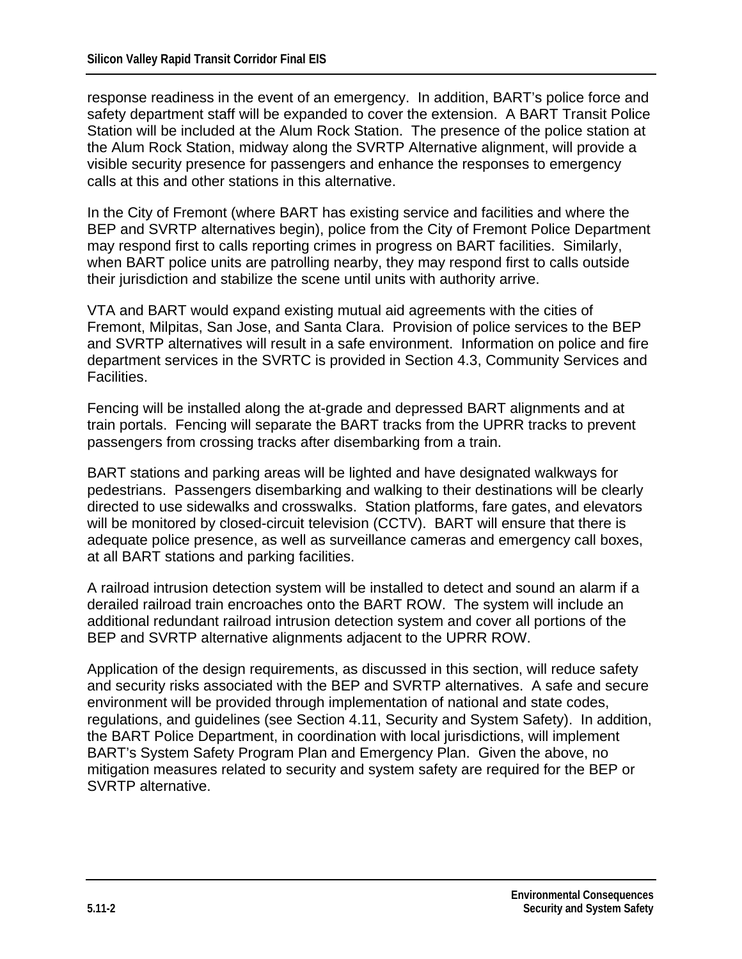response readiness in the event of an emergency. In addition, BART's police force and safety department staff will be expanded to cover the extension. A BART Transit Police Station will be included at the Alum Rock Station. The presence of the police station at the Alum Rock Station, midway along the SVRTP Alternative alignment, will provide a visible security presence for passengers and enhance the responses to emergency calls at this and other stations in this alternative.

In the City of Fremont (where BART has existing service and facilities and where the BEP and SVRTP alternatives begin), police from the City of Fremont Police Department may respond first to calls reporting crimes in progress on BART facilities. Similarly, when BART police units are patrolling nearby, they may respond first to calls outside their jurisdiction and stabilize the scene until units with authority arrive.

VTA and BART would expand existing mutual aid agreements with the cities of Fremont, Milpitas, San Jose, and Santa Clara. Provision of police services to the BEP and SVRTP alternatives will result in a safe environment. Information on police and fire department services in the SVRTC is provided in Section 4.3, Community Services and Facilities.

Fencing will be installed along the at-grade and depressed BART alignments and at train portals. Fencing will separate the BART tracks from the UPRR tracks to prevent passengers from crossing tracks after disembarking from a train.

BART stations and parking areas will be lighted and have designated walkways for pedestrians. Passengers disembarking and walking to their destinations will be clearly directed to use sidewalks and crosswalks. Station platforms, fare gates, and elevators will be monitored by closed-circuit television (CCTV). BART will ensure that there is adequate police presence, as well as surveillance cameras and emergency call boxes, at all BART stations and parking facilities.

A railroad intrusion detection system will be installed to detect and sound an alarm if a derailed railroad train encroaches onto the BART ROW. The system will include an additional redundant railroad intrusion detection system and cover all portions of the BEP and SVRTP alternative alignments adjacent to the UPRR ROW.

Application of the design requirements, as discussed in this section, will reduce safety and security risks associated with the BEP and SVRTP alternatives. A safe and secure environment will be provided through implementation of national and state codes, regulations, and guidelines (see Section 4.11, Security and System Safety). In addition, the BART Police Department, in coordination with local jurisdictions, will implement BART's System Safety Program Plan and Emergency Plan. Given the above, no mitigation measures related to security and system safety are required for the BEP or SVRTP alternative.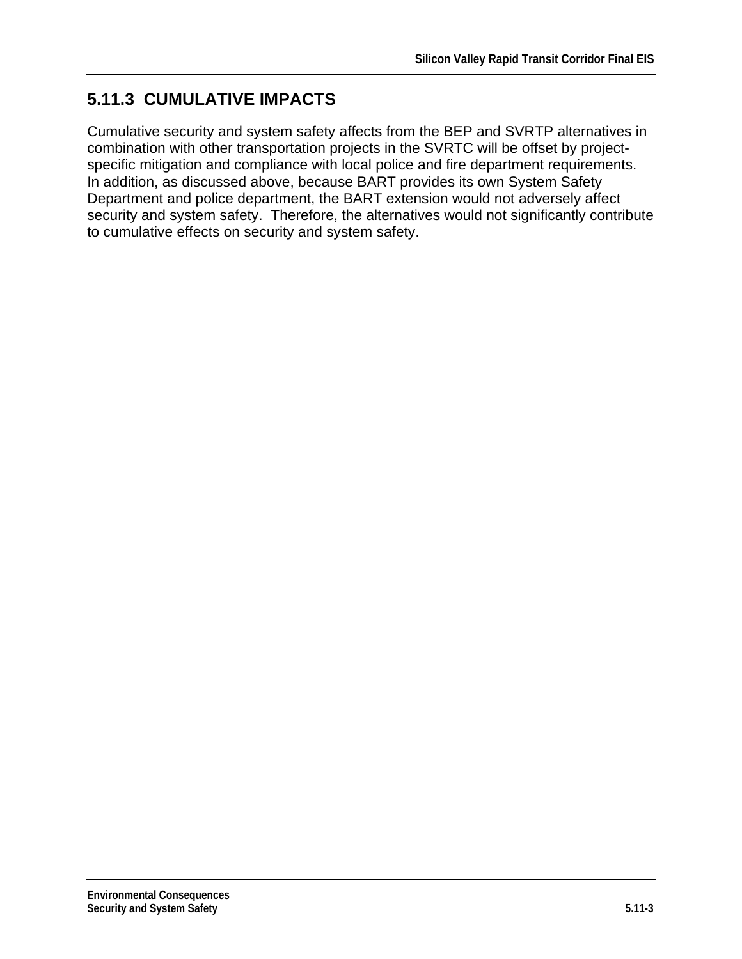## **5.11.3 CUMULATIVE IMPACTS**

Cumulative security and system safety affects from the BEP and SVRTP alternatives in combination with other transportation projects in the SVRTC will be offset by projectspecific mitigation and compliance with local police and fire department requirements. In addition, as discussed above, because BART provides its own System Safety Department and police department, the BART extension would not adversely affect security and system safety. Therefore, the alternatives would not significantly contribute to cumulative effects on security and system safety.